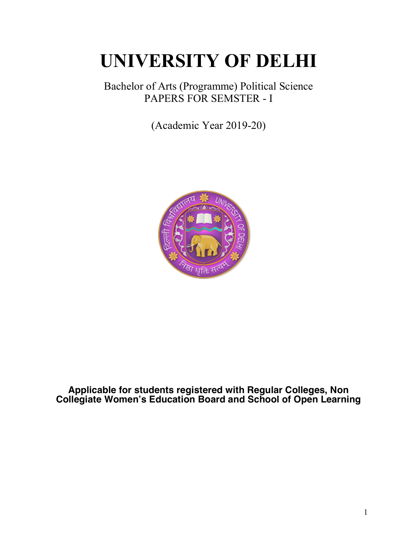# **UNIVERSITY OF DELHI**

# Bachelor of Arts (Programme) Political Science PAPERS FOR SEMSTER - I

(Academic Year 2019-20)



**Applicable for students registered with Regular Colleges, Non Collegiate Women's Education Board and School of Open Learning**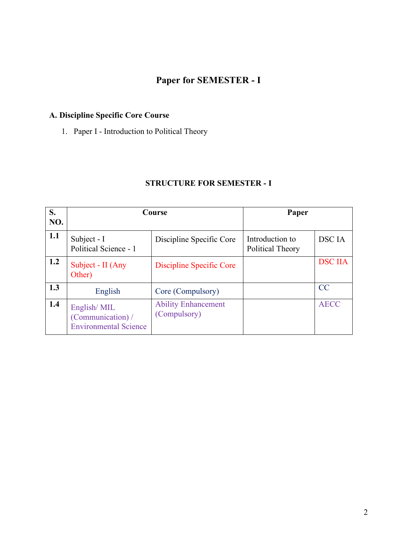# **Paper for SEMESTER - I**

#### **A. Discipline Specific Core Course**

1. Paper I - Introduction to Political Theory

## **STRUCTURE FOR SEMESTER - I**

| S.<br>NO. | Course                                                           |                                            | Paper                               |                |
|-----------|------------------------------------------------------------------|--------------------------------------------|-------------------------------------|----------------|
| 1.1       | Subject - I<br>Political Science - 1                             | Discipline Specific Core                   | Introduction to<br>Political Theory | <b>DSCIA</b>   |
| 1.2       | Subject - II (Any<br>Other)                                      | Discipline Specific Core                   |                                     | <b>DSC IIA</b> |
| 1.3       | English                                                          | Core (Compulsory)                          |                                     | <b>CC</b>      |
| 1.4       | English/MIL<br>(Communication) /<br><b>Environmental Science</b> | <b>Ability Enhancement</b><br>(Compulsory) |                                     | <b>AECC</b>    |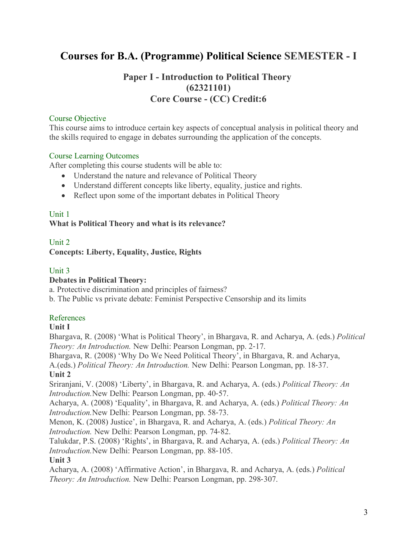# **Courses for B.A. (Programme) Political Science SEMESTER - I**

# **Paper I - Introduction to Political Theory (62321101) Core Course - (CC) Credit:6**

#### Course Objective

This course aims to introduce certain key aspects of conceptual analysis in political theory and the skills required to engage in debates surrounding the application of the concepts.

#### Course Learning Outcomes

After completing this course students will be able to:

- Understand the nature and relevance of Political Theory
- Understand different concepts like liberty, equality, justice and rights.
- Reflect upon some of the important debates in Political Theory

#### Unit 1

#### **What is Political Theory and what is its relevance?**

#### Unit 2 **Concepts: Liberty, Equality, Justice, Rights**

#### Unit 3

#### **Debates in Political Theory:**

a. Protective discrimination and principles of fairness?

b. The Public vs private debate: Feminist Perspective Censorship and its limits

#### References

#### **Unit I**

Bhargava, R. (2008) 'What is Political Theory', in Bhargava, R. and Acharya, A. (eds.) *Political Theory: An Introduction.* New Delhi: Pearson Longman, pp. 2-17.

Bhargava, R. (2008) 'Why Do We Need Political Theory', in Bhargava, R. and Acharya,

A.(eds.) *Political Theory: An Introduction.* New Delhi: Pearson Longman, pp. 18-37. **Unit 2**

Sriranjani, V. (2008) 'Liberty', in Bhargava, R. and Acharya, A. (eds.) *Political Theory: An Introduction.*New Delhi: Pearson Longman, pp. 40-57.

Acharya, A. (2008) 'Equality', in Bhargava, R. and Acharya, A. (eds.) *Political Theory: An Introduction.*New Delhi: Pearson Longman, pp. 58-73.

Menon, K. (2008) Justice', in Bhargava, R. and Acharya, A. (eds.) *Political Theory: An Introduction.* New Delhi: Pearson Longman, pp. 74-82.

Talukdar, P.S. (2008) 'Rights', in Bhargava, R. and Acharya, A. (eds.) *Political Theory: An Introduction.*New Delhi: Pearson Longman, pp. 88-105.

#### **Unit 3**

Acharya, A. (2008) 'Affirmative Action', in Bhargava, R. and Acharya, A. (eds.) *Political Theory: An Introduction.* New Delhi: Pearson Longman, pp. 298-307.